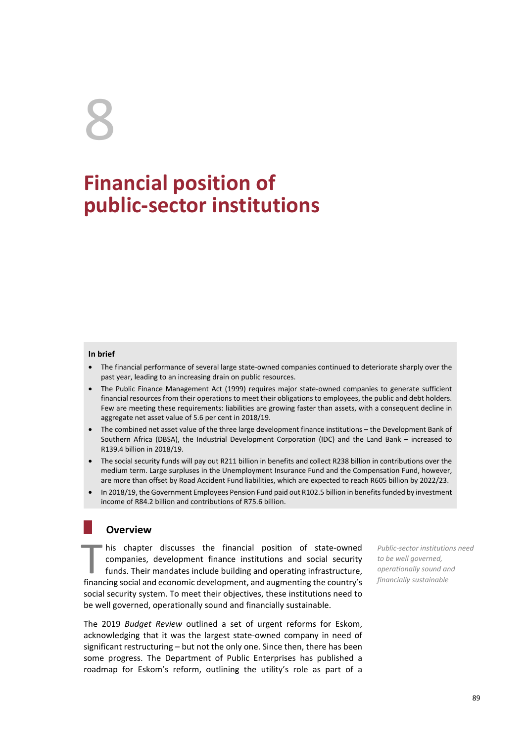# 8

# **Financial position of public-sector institutions**

#### **In brief**

- The financial performance of several large state-owned companies continued to deteriorate sharply over the past year, leading to an increasing drain on public resources.
- The Public Finance Management Act (1999) requires major state-owned companies to generate sufficient financial resources from their operations to meet their obligations to employees, the public and debt holders. Few are meeting these requirements: liabilities are growing faster than assets, with a consequent decline in aggregate net asset value of 5.6 per cent in 2018/19.
- The combined net asset value of the three large development finance institutions the Development Bank of Southern Africa (DBSA), the Industrial Development Corporation (IDC) and the Land Bank – increased to R139.4 billion in 2018/19.
- The social security funds will pay out R211 billion in benefits and collect R238 billion in contributions over the medium term. Large surpluses in the Unemployment Insurance Fund and the Compensation Fund, however, are more than offset by Road Accident Fund liabilities, which are expected to reach R605 billion by 2022/23.
- In 2018/19, the Government Employees Pension Fund paid out R102.5 billion in benefits funded by investment income of R84.2 billion and contributions of R75.6 billion.

# **Overview**

his chapter discusses the financial position of state-owned companies, development finance institutions and social security funds. Their mandates include building and operating infrastructure, financing social and economic development, and augmenting the country's social security system. To meet their objectives, these institutions need to be well governed, operationally sound and financially sustainable. **operations in this chapter discusses the financial position of state-owned** *Public-sector institutions* **companies, development finance institutions and social security** to be well governed, **funds.** Their mandates inclu

The 2019 *Budget Review* outlined a set of urgent reforms for Eskom, acknowledging that it was the largest state-owned company in need of significant restructuring – but not the only one. Since then, there has been some progress. The Department of Public Enterprises has published a roadmap for Eskom's reform, outlining the utility's role as part of a

*Public-sector institutions need to be well governed, financially sustainable*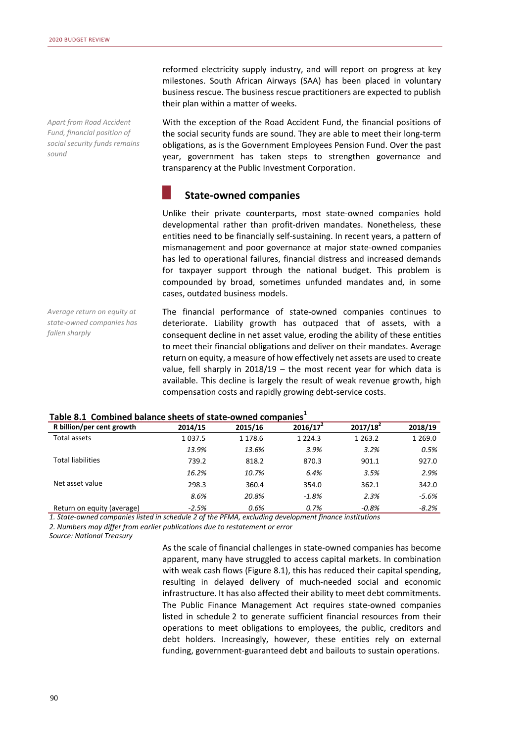*Apart from Road Accident Fund, financial position of social security funds remains sound* 

reformed electricity supply industry, and will report on progress at key milestones. South African Airways (SAA) has been placed in voluntary business rescue. The business rescue practitioners are expected to publish their plan within a matter of weeks.

With the exception of the Road Accident Fund, the financial positions of the social security funds are sound. They are able to meet their long-term obligations, as is the Government Employees Pension Fund. Over the past year, government has taken steps to strengthen governance and transparency at the Public Investment Corporation.

# **State-owned companies**

Unlike their private counterparts, most state-owned companies hold developmental rather than profit-driven mandates. Nonetheless, these entities need to be financially self-sustaining. In recent years, a pattern of mismanagement and poor governance at major state-owned companies has led to operational failures, financial distress and increased demands for taxpayer support through the national budget. This problem is compounded by broad, sometimes unfunded mandates and, in some cases, outdated business models.

*Average return on equity at state-owned companies has fallen sharply* 

The financial performance of state-owned companies continues to deteriorate. Liability growth has outpaced that of assets, with a consequent decline in net asset value, eroding the ability of these entities to meet their financial obligations and deliver on their mandates. Average return on equity, a measure of how effectively net assets are used to create value, fell sharply in 2018/19 – the most recent year for which data is available. This decline is largely the result of weak revenue growth, high compensation costs and rapidly growing debt-service costs.

| Table off Complication balance succes of state-omned companies |             |         |             |             |             |  |  |  |  |
|----------------------------------------------------------------|-------------|---------|-------------|-------------|-------------|--|--|--|--|
| R billion/per cent growth                                      | 2014/15     | 2015/16 | $2016/17^2$ | $2017/18^2$ | 2018/19     |  |  |  |  |
| Total assets                                                   | 1 0 3 7 . 5 | 1 178.6 | 1 2 2 4 . 3 | 1 2 6 3 . 2 | 1 2 6 9 . 0 |  |  |  |  |
|                                                                | 13.9%       | 13.6%   | 3.9%        | 3.2%        | 0.5%        |  |  |  |  |
| <b>Total liabilities</b>                                       | 739.2       | 818.2   | 870.3       | 901.1       | 927.0       |  |  |  |  |
|                                                                | 16.2%       | 10.7%   | 6.4%        | 3.5%        | 2.9%        |  |  |  |  |
| Net asset value                                                | 298.3       | 360.4   | 354.0       | 362.1       | 342.0       |  |  |  |  |
|                                                                | 8.6%        | 20.8%   | $-1.8%$     | 2.3%        | -5.6%       |  |  |  |  |
| Return on equity (average)                                     | $-2.5%$     | 0.6%    | 0.7%        | $-0.8%$     | $-8.2%$     |  |  |  |  |

## **Table 8.1 Combined balance sheets of state-owned companies<sup>1</sup>**

*1. State-owned companies listed in schedule 2 of the PFMA, excluding development finance institutions 2. Numbers may differ from earlier publications due to restatement or error*

*Source: National Treasury*

As the scale of financial challenges in state-owned companies has become apparent, many have struggled to access capital markets. In combination with weak cash flows (Figure 8.1), this has reduced their capital spending, resulting in delayed delivery of much-needed social and economic infrastructure. It has also affected their ability to meet debt commitments. The Public Finance Management Act requires state-owned companies listed in schedule 2 to generate sufficient financial resources from their operations to meet obligations to employees, the public, creditors and debt holders. Increasingly, however, these entities rely on external funding, government-guaranteed debt and bailouts to sustain operations.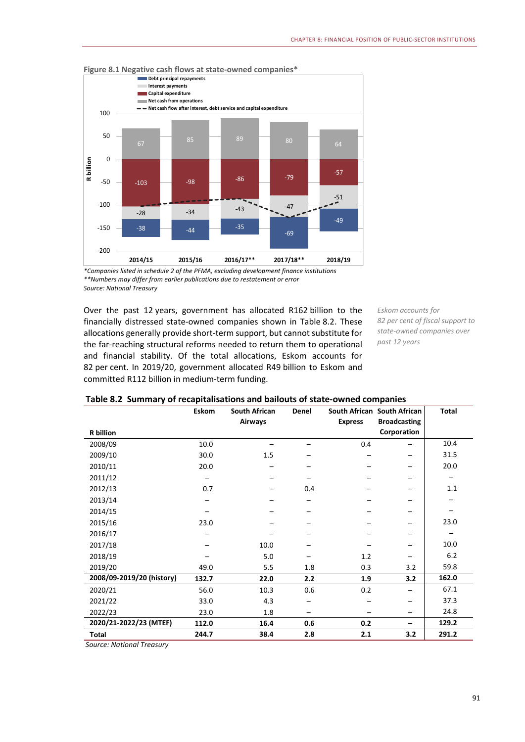

**Figure 8.1 Negative cash flows at state-owned companies\*** 

*\*Companies listed in schedule 2 of the PFMA, excluding development finance institutions \*\*Numbers may differ from earlier publications due to restatement or error Source: National Treasury* 

Over the past 12 years, government has allocated R162 billion to the financially distressed state-owned companies shown in Table 8.2. These allocations generally provide short-term support, but cannot substitute for the far-reaching structural reforms needed to return them to operational and financial stability. Of the total allocations, Eskom accounts for 82 per cent. In 2019/20, government allocated R49 billion to Eskom and committed R112 billion in medium-term funding.

*Eskom accounts for 82 per cent of fiscal support to state-owned companies over past 12 years* 

|                           | <b>Eskom</b> | <b>South African</b> | Denel |                | South African South African | <b>Total</b> |
|---------------------------|--------------|----------------------|-------|----------------|-----------------------------|--------------|
|                           |              | Airways              |       | <b>Express</b> | <b>Broadcasting</b>         |              |
| <b>R</b> billion          |              |                      |       |                | Corporation                 |              |
| 2008/09                   | 10.0         |                      |       | 0.4            |                             | 10.4         |
| 2009/10                   | 30.0         | 1.5                  |       |                |                             | 31.5         |
| 2010/11                   | 20.0         |                      |       |                |                             | 20.0         |
| 2011/12                   |              |                      |       |                |                             |              |
| 2012/13                   | 0.7          |                      | 0.4   |                |                             | 1.1          |
| 2013/14                   |              |                      |       |                |                             |              |
| 2014/15                   |              |                      |       |                |                             |              |
| 2015/16                   | 23.0         |                      |       |                |                             | 23.0         |
| 2016/17                   |              |                      |       |                |                             |              |
| 2017/18                   |              | 10.0                 |       |                |                             | 10.0         |
| 2018/19                   |              | 5.0                  |       | 1.2            |                             | 6.2          |
| 2019/20                   | 49.0         | 5.5                  | 1.8   | 0.3            | 3.2                         | 59.8         |
| 2008/09-2019/20 (history) | 132.7        | 22.0                 | 2.2   | 1.9            | 3.2                         | 162.0        |
| 2020/21                   | 56.0         | 10.3                 | 0.6   | 0.2            |                             | 67.1         |
| 2021/22                   | 33.0         | 4.3                  |       |                |                             | 37.3         |
| 2022/23                   | 23.0         | 1.8                  |       |                |                             | 24.8         |
| 2020/21-2022/23 (MTEF)    | 112.0        | 16.4                 | 0.6   | 0.2            |                             | 129.2        |
| <b>Total</b>              | 244.7        | 38.4                 | 2.8   | 2.1            | 3.2                         | 291.2        |

#### **Table 8.2 Summary of recapitalisations and bailouts of state-owned companies**

*Source: National Treasury*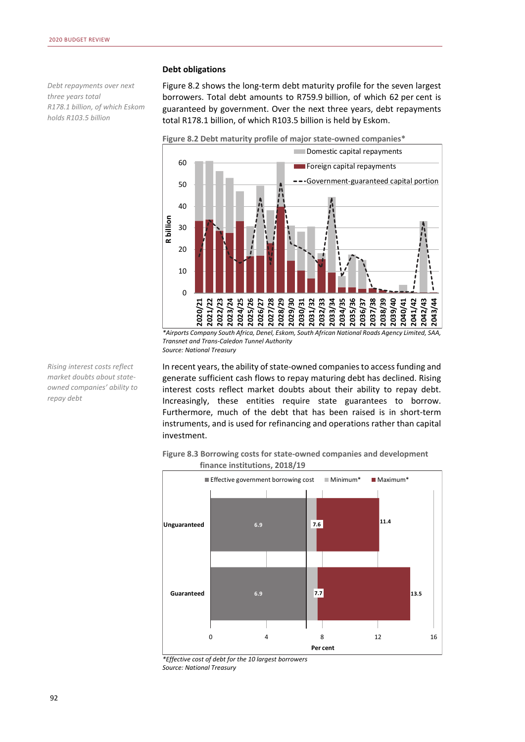*Debt repayments over next three years total R178.1 billion, of which Eskom holds R103.5 billion* 

#### **Debt obligations**

Figure 8.2 shows the long-term debt maturity profile for the seven largest borrowers. Total debt amounts to R759.9 billion, of which 62 per cent is guaranteed by government. Over the next three years, debt repayments total R178.1 billion, of which R103.5 billion is held by Eskom.



*\*Airports Company South Africa, Denel, Eskom, South African National Roads Agency Limited, SAA, Transnet and Trans-Caledon Tunnel Authority Source: National Treasury* 

In recent years, the ability of state-owned companies to access funding and generate sufficient cash flows to repay maturing debt has declined. Rising interest costs reflect market doubts about their ability to repay debt. Increasingly, these entities require state guarantees to borrow. Furthermore, much of the debt that has been raised is in short-term instruments, and is used for refinancing and operations rather than capital investment.

**Figure 8.3 Borrowing costs for state-owned companies and development finance institutions, 2018/19** 



*\*Effective cost of debt for the 10 largest borrowers Source: National Treasury* 

*Rising interest costs reflect market doubts about stateowned companies' ability to repay debt*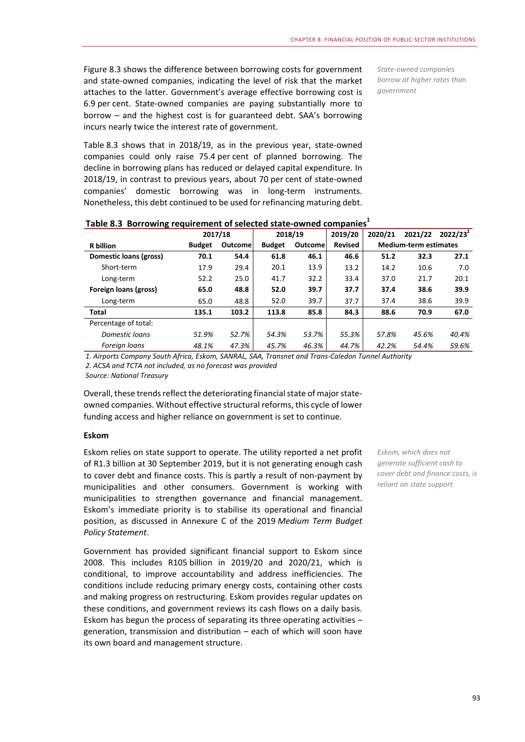Figure 8.3 shows the difference between borrowing costs for government and state-owned companies, indicating the level of risk that the market attaches to the latter. Government's average effective borrowing cost is 6.9 per cent. State-owned companies are paying substantially more to borrow – and the highest cost is for guaranteed debt. SAA's borrowing incurs nearly twice the interest rate of government.

*State-owned companies borrow at higher rates than government* 

Table 8.3 shows that in 2018/19, as in the previous year, state-owned companies could only raise 75.4 per cent of planned borrowing. The decline in borrowing plans has reduced or delayed capital expenditure. In 2018/19, in contrast to previous years, about 70 per cent of state-owned companies' domestic borrowing was in long-term instruments. Nonetheless, this debt continued to be used for refinancing maturing debt.

| Table 6:5 Dollowing requirement of selected state-owned companies |               |          |               |                |                |         |                              |             |  |
|-------------------------------------------------------------------|---------------|----------|---------------|----------------|----------------|---------|------------------------------|-------------|--|
|                                                                   |               | 2017/18  |               | 2018/19        | 2019/20        | 2020/21 | 2021/22                      | $2022/23^2$ |  |
| <b>R</b> billion                                                  | <b>Budget</b> | Outcomel | <b>Budget</b> | <b>Outcome</b> | <b>Revised</b> |         | <b>Medium-term estimates</b> |             |  |
| Domestic loans (gross)                                            | 70.1          | 54.4     | 61.8          | 46.1           | 46.6           | 51.2    | 32.3                         | 27.1        |  |
| Short-term                                                        | 17.9          | 29.4     | 20.1          | 13.9           | 13.2           | 14.2    | 10.6                         | 7.0         |  |
| Long-term                                                         | 52.2          | 25.0     | 41.7          | 32.2           | 33.4           | 37.0    | 21.7                         | 20.1        |  |
| Foreign loans (gross)                                             | 65.0          | 48.8     | 52.0          | 39.7           | 37.7           | 37.4    | 38.6                         | 39.9        |  |
| Long-term                                                         | 65.0          | 48.8     | 52.0          | 39.7           | 37.7           | 37.4    | 38.6                         | 39.9        |  |
| <b>Total</b>                                                      | 135.1         | 103.2    | 113.8         | 85.8           | 84.3           | 88.6    | 70.9                         | 67.0        |  |
| Percentage of total:                                              |               |          |               |                |                |         |                              |             |  |
| Domestic loans                                                    | 51.9%         | 52.7%    | 54.3%         | 53.7%          | 55.3%          | 57.8%   | 45.6%                        | 40.4%       |  |
| Foreign loans                                                     | 48.1%         | 47.3%    | 45.7%         | 46.3%          | 44.7%          | 42.2%   | 54.4%                        | 59.6%       |  |
|                                                                   |               |          |               |                |                |         |                              |             |  |

### **Table 8.3 Borrowing requirement of selected state-owned companies<sup>1</sup>**

*1. Airports Company South Africa, Eskom, SANRAL, SAA, Transnet and Trans-Caledon Tunnel Authority*

*2. ACSA and TCTA not included, as no forecast was provided*

*Source: National Treasury*

Overall, these trends reflect the deteriorating financial state of major stateowned companies. Without effective structural reforms, this cycle of lower funding access and higher reliance on government is set to continue.

#### **Eskom**

Eskom relies on state support to operate. The utility reported a net profit of R1.3 billion at 30 September 2019, but it is not generating enough cash to cover debt and finance costs. This is partly a result of non-payment by municipalities and other consumers. Government is working with municipalities to strengthen governance and financial management. Eskom's immediate priority is to stabilise its operational and financial position, as discussed in Annexure C of the 2019 *Medium Term Budget Policy Statement*.

Government has provided significant financial support to Eskom since 2008. This includes R105 billion in 2019/20 and 2020/21, which is conditional, to improve accountability and address inefficiencies. The conditions include reducing primary energy costs, containing other costs and making progress on restructuring. Eskom provides regular updates on these conditions, and government reviews its cash flows on a daily basis. Eskom has begun the process of separating its three operating activities – generation, transmission and distribution – each of which will soon have its own board and management structure.

*Eskom, which does not generate sufficient cash to cover debt and finance costs, is reliant on state support*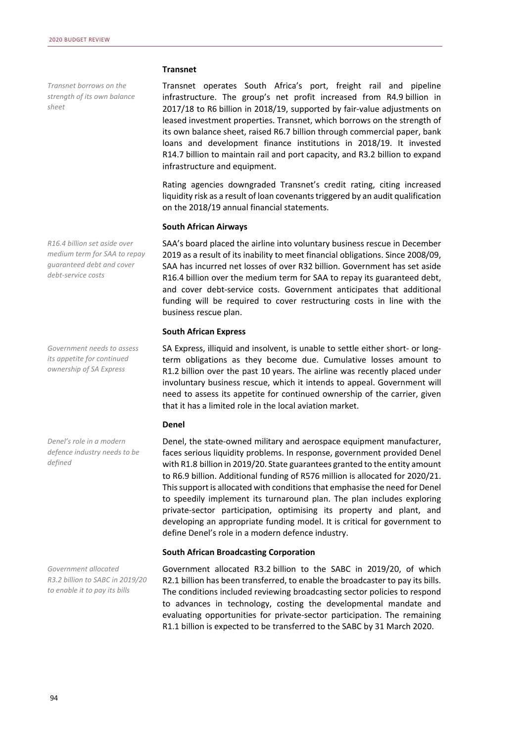*Transnet borrows on the strength of its own balance sheet* 

*R16.4 billion set aside over medium term for SAA to repay guaranteed debt and cover debt-service costs* 

*Government needs to assess its appetite for continued ownership of SA Express* 

*Denel's role in a modern defence industry needs to be defined* 

*Government allocated R3.2 billion to SABC in 2019/20 to enable it to pay its bills* 

#### **Transnet**

Transnet operates South Africa's port, freight rail and pipeline infrastructure. The group's net profit increased from R4.9 billion in 2017/18 to R6 billion in 2018/19, supported by fair-value adjustments on leased investment properties. Transnet, which borrows on the strength of its own balance sheet, raised R6.7 billion through commercial paper, bank loans and development finance institutions in 2018/19. It invested R14.7 billion to maintain rail and port capacity, and R3.2 billion to expand infrastructure and equipment.

Rating agencies downgraded Transnet's credit rating, citing increased liquidity risk as a result of loan covenants triggered by an audit qualification on the 2018/19 annual financial statements.

#### **South African Airways**

SAA's board placed the airline into voluntary business rescue in December 2019 as a result of its inability to meet financial obligations. Since 2008/09, SAA has incurred net losses of over R32 billion. Government has set aside R16.4 billion over the medium term for SAA to repay its guaranteed debt, and cover debt-service costs. Government anticipates that additional funding will be required to cover restructuring costs in line with the business rescue plan.

#### **South African Express**

SA Express, illiquid and insolvent, is unable to settle either short- or longterm obligations as they become due. Cumulative losses amount to R1.2 billion over the past 10 years. The airline was recently placed under involuntary business rescue, which it intends to appeal. Government will need to assess its appetite for continued ownership of the carrier, given that it has a limited role in the local aviation market.

#### **Denel**

Denel, the state-owned military and aerospace equipment manufacturer, faces serious liquidity problems. In response, government provided Denel with R1.8 billion in 2019/20. State guarantees granted to the entity amount to R6.9 billion. Additional funding of R576 million is allocated for 2020/21. This support is allocated with conditions that emphasise the need for Denel to speedily implement its turnaround plan. The plan includes exploring private-sector participation, optimising its property and plant, and developing an appropriate funding model. It is critical for government to define Denel's role in a modern defence industry.

#### **South African Broadcasting Corporation**

Government allocated R3.2 billion to the SABC in 2019/20, of which R2.1 billion has been transferred, to enable the broadcaster to pay its bills. The conditions included reviewing broadcasting sector policies to respond to advances in technology, costing the developmental mandate and evaluating opportunities for private-sector participation. The remaining R1.1 billion is expected to be transferred to the SABC by 31 March 2020.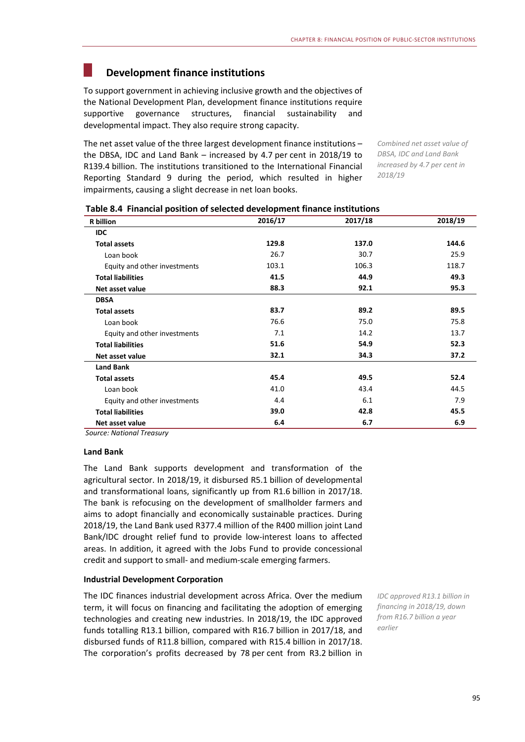# **Development finance institutions**

To support government in achieving inclusive growth and the objectives of the National Development Plan, development finance institutions require supportive governance structures, financial sustainability and developmental impact. They also require strong capacity.

The net asset value of the three largest development finance institutions – the DBSA, IDC and Land Bank – increased by 4.7 per cent in 2018/19 to R139.4 billion. The institutions transitioned to the International Financial Reporting Standard 9 during the period, which resulted in higher impairments, causing a slight decrease in net loan books.

*Combined net asset value of DBSA, IDC and Land Bank increased by 4.7 per cent in 2018/19* 

| <b>R</b> billion             | 2016/17 | 2017/18 | 2018/19 |
|------------------------------|---------|---------|---------|
| <b>IDC</b>                   |         |         |         |
| <b>Total assets</b>          | 129.8   | 137.0   | 144.6   |
| Loan book                    | 26.7    | 30.7    | 25.9    |
| Equity and other investments | 103.1   | 106.3   | 118.7   |
| <b>Total liabilities</b>     | 41.5    | 44.9    | 49.3    |
| Net asset value              | 88.3    | 92.1    | 95.3    |
| <b>DBSA</b>                  |         |         |         |
| <b>Total assets</b>          | 83.7    | 89.2    | 89.5    |
| Loan book                    | 76.6    | 75.0    | 75.8    |
| Equity and other investments | 7.1     | 14.2    | 13.7    |
| <b>Total liabilities</b>     | 51.6    | 54.9    | 52.3    |
| Net asset value              | 32.1    | 34.3    | 37.2    |
| <b>Land Bank</b>             |         |         |         |
| <b>Total assets</b>          | 45.4    | 49.5    | 52.4    |
| Loan book                    | 41.0    | 43.4    | 44.5    |
| Equity and other investments | 4.4     | 6.1     | 7.9     |
| <b>Total liabilities</b>     | 39.0    | 42.8    | 45.5    |
| Net asset value              | 6.4     | 6.7     | 6.9     |

#### **Table 8.4 Financial position of selected development finance institutions**

*Source: National Treasury*

#### **Land Bank**

The Land Bank supports development and transformation of the agricultural sector. In 2018/19, it disbursed R5.1 billion of developmental and transformational loans, significantly up from R1.6 billion in 2017/18. The bank is refocusing on the development of smallholder farmers and aims to adopt financially and economically sustainable practices. During 2018/19, the Land Bank used R377.4 million of the R400 million joint Land Bank/IDC drought relief fund to provide low-interest loans to affected areas. In addition, it agreed with the Jobs Fund to provide concessional credit and support to small- and medium-scale emerging farmers.

#### **Industrial Development Corporation**

The IDC finances industrial development across Africa. Over the medium term, it will focus on financing and facilitating the adoption of emerging technologies and creating new industries. In 2018/19, the IDC approved funds totalling R13.1 billion, compared with R16.7 billion in 2017/18, and disbursed funds of R11.8 billion, compared with R15.4 billion in 2017/18. The corporation's profits decreased by 78 per cent from R3.2 billion in

*IDC approved R13.1 billion in financing in 2018/19, down from R16.7 billion a year earlier*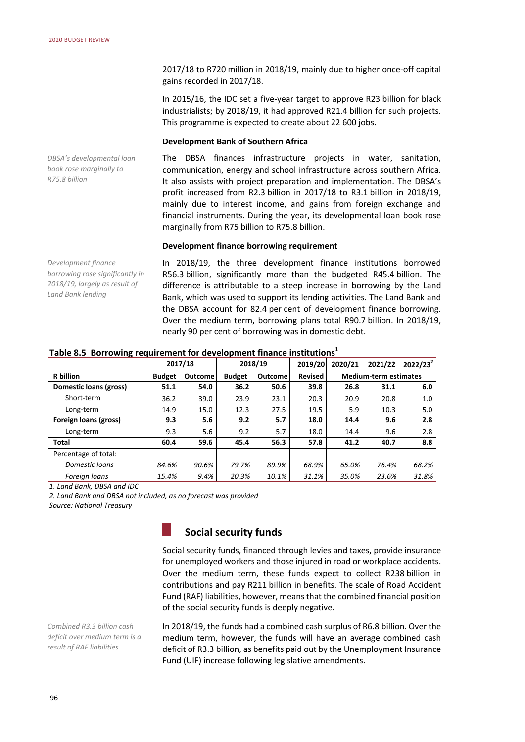2017/18 to R720 million in 2018/19, mainly due to higher once-off capital gains recorded in 2017/18.

In 2015/16, the IDC set a five-year target to approve R23 billion for black industrialists; by 2018/19, it had approved R21.4 billion for such projects. This programme is expected to create about 22 600 jobs.

#### **Development Bank of Southern Africa**

The DBSA finances infrastructure projects in water, sanitation, communication, energy and school infrastructure across southern Africa. It also assists with project preparation and implementation. The DBSA's profit increased from R2.3 billion in 2017/18 to R3.1 billion in 2018/19, mainly due to interest income, and gains from foreign exchange and financial instruments. During the year, its developmental loan book rose marginally from R75 billion to R75.8 billion.

#### **Development finance borrowing requirement**

*Development finance borrowing rose significantly in 2018/19, largely as result of Land Bank lending* 

*DBSA's developmental loan book rose marginally to* 

*R75.8 billion* 

In 2018/19, the three development finance institutions borrowed R56.3 billion, significantly more than the budgeted R45.4 billion. The difference is attributable to a steep increase in borrowing by the Land Bank, which was used to support its lending activities. The Land Bank and the DBSA account for 82.4 per cent of development finance borrowing. Over the medium term, borrowing plans total R90.7 billion. In 2018/19, nearly 90 per cent of borrowing was in domestic debt.

|                        |               | 2017/18        | 2018/19       |                | 2019/20        | 2020/21 | 2021/22                      | $2022/23^2$ |
|------------------------|---------------|----------------|---------------|----------------|----------------|---------|------------------------------|-------------|
| <b>R</b> billion       | <b>Budget</b> | <b>Outcome</b> | <b>Budget</b> | <b>Outcome</b> | <b>Revised</b> |         | <b>Medium-term estimates</b> |             |
| Domestic loans (gross) | 51.1          | 54.0           | 36.2          | 50.6           | 39.8           | 26.8    | 31.1                         | 6.0         |
| Short-term             | 36.2          | 39.0           | 23.9          | 23.1           | 20.3           | 20.9    | 20.8                         | 1.0         |
| Long-term              | 14.9          | 15.0           | 12.3          | 27.5           | 19.5           | 5.9     | 10.3                         | 5.0         |
| Foreign loans (gross)  | 9.3           | 5.6            | 9.2           | 5.7            | 18.0           | 14.4    | 9.6                          | 2.8         |
| Long-term              | 9.3           | 5.6            | 9.2           | 5.7            | 18.0           | 14.4    | 9.6                          | 2.8         |
| Total                  | 60.4          | 59.6           | 45.4          | 56.3           | 57.8           | 41.2    | 40.7                         | 8.8         |
| Percentage of total:   |               |                |               |                |                |         |                              |             |
| Domestic loans         | 84.6%         | 90.6%          | 79.7%         | 89.9%          | 68.9%          | 65.0%   | 76.4%                        | 68.2%       |
| Foreign loans          | 15.4%         | 9.4%           | 20.3%         | 10.1%          | 31.1%          | 35.0%   | 23.6%                        | 31.8%       |

#### **Table 8.5 Borrowing requirement for development finance institutions1**

*1. Land Bank, DBSA and IDC*

*2. Land Bank and DBSA not included, as no forecast was provided*

*Source: National Treasury*

# **Social security funds**

Social security funds, financed through levies and taxes, provide insurance for unemployed workers and those injured in road or workplace accidents. Over the medium term, these funds expect to collect R238 billion in contributions and pay R211 billion in benefits. The scale of Road Accident Fund (RAF) liabilities, however, means that the combined financial position of the social security funds is deeply negative.

*Combined R3.3 billion cash deficit over medium term is a result of RAF liabilities* 

In 2018/19, the funds had a combined cash surplus of R6.8 billion. Over the medium term, however, the funds will have an average combined cash deficit of R3.3 billion, as benefits paid out by the Unemployment Insurance Fund (UIF) increase following legislative amendments.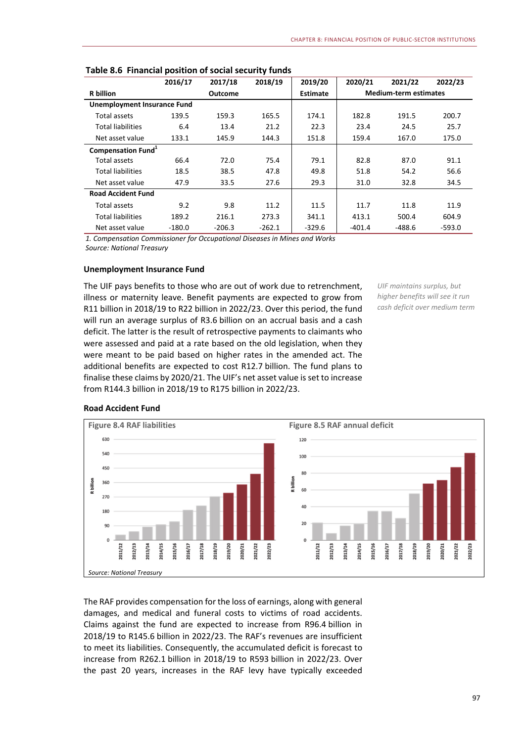|                                    | 2016/17  | 2017/18        | 2018/19  | 2019/20         | 2020/21                      | 2021/22  | 2022/23  |
|------------------------------------|----------|----------------|----------|-----------------|------------------------------|----------|----------|
| <b>R</b> billion                   |          | <b>Outcome</b> |          | <b>Estimate</b> | <b>Medium-term estimates</b> |          |          |
| <b>Unemployment Insurance Fund</b> |          |                |          |                 |                              |          |          |
| <b>Total assets</b>                | 139.5    | 159.3          | 165.5    | 174.1           | 182.8                        | 191.5    | 200.7    |
| <b>Total liabilities</b>           | 6.4      | 13.4           | 21.2     | 22.3            | 23.4                         | 24.5     | 25.7     |
| Net asset value                    | 133.1    | 145.9          | 144.3    | 151.8           | 159.4                        | 167.0    | 175.0    |
| Compensation Fund <sup>1</sup>     |          |                |          |                 |                              |          |          |
| Total assets                       | 66.4     | 72.0           | 75.4     | 79.1            | 82.8                         | 87.0     | 91.1     |
| <b>Total liabilities</b>           | 18.5     | 38.5           | 47.8     | 49.8            | 51.8                         | 54.2     | 56.6     |
| Net asset value                    | 47.9     | 33.5           | 27.6     | 29.3            | 31.0                         | 32.8     | 34.5     |
| <b>Road Accident Fund</b>          |          |                |          |                 |                              |          |          |
| Total assets                       | 9.2      | 9.8            | 11.2     | 11.5            | 11.7                         | 11.8     | 11.9     |
| <b>Total liabilities</b>           | 189.2    | 216.1          | 273.3    | 341.1           | 413.1                        | 500.4    | 604.9    |
| Net asset value                    | $-180.0$ | $-206.3$       | $-262.1$ | $-329.6$        | $-401.4$                     | $-488.6$ | $-593.0$ |

|  | Table 8.6 Financial position of social security funds |  |  |  |  |
|--|-------------------------------------------------------|--|--|--|--|
|--|-------------------------------------------------------|--|--|--|--|

*1. Compensation Commissioner for Occupational Diseases in Mines and Works Source: National Treasury*

#### **Unemployment Insurance Fund**

The UIF pays benefits to those who are out of work due to retrenchment, illness or maternity leave. Benefit payments are expected to grow from R11 billion in 2018/19 to R22 billion in 2022/23. Over this period, the fund will run an average surplus of R3.6 billion on an accrual basis and a cash deficit. The latter is the result of retrospective payments to claimants who were assessed and paid at a rate based on the old legislation, when they were meant to be paid based on higher rates in the amended act. The additional benefits are expected to cost R12.7 billion. The fund plans to finalise these claims by 2020/21. The UIF's net asset value is set to increase from R144.3 billion in 2018/19 to R175 billion in 2022/23.

*UIF maintains surplus, but higher benefits will see it run cash deficit over medium term* 



The RAF provides compensation for the loss of earnings, along with general damages, and medical and funeral costs to victims of road accidents. Claims against the fund are expected to increase from R96.4 billion in 2018/19 to R145.6 billion in 2022/23. The RAF's revenues are insufficient to meet its liabilities. Consequently, the accumulated deficit is forecast to increase from R262.1 billion in 2018/19 to R593 billion in 2022/23. Over the past 20 years, increases in the RAF levy have typically exceeded